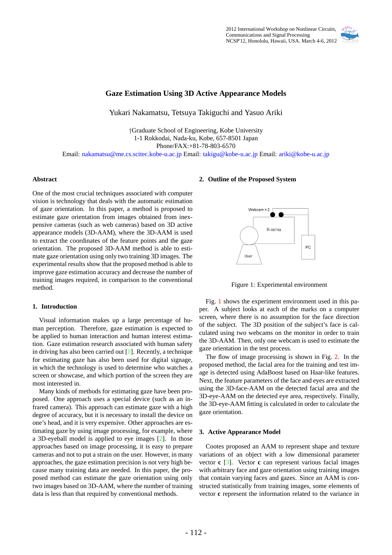

# **Gaze Estimation Using 3D Active Appearance Models**

Yukari Nakamatsu, Tetsuya Takiguchi and Yasuo Ariki

*†*Graduate School of Engineering, Kobe University 1-1 Rokkodai, Nada-ku, Kobe, 657-8501 Japan Phone/FAX:+81-78-803-6570

Email: nakamatsu@me.cs.scitec.kobe-u.ac.jp Email: takigu@kobe-u.ac.jp Email: ariki@kobe-u.ac.jp

### **Abstract**

One of the most crucial techniques associated with computer vision is technology that deals with the automatic estimation of gaze orientation. In this paper, a method is proposed to estimate gaze orientation from images obtained from inexpensive cameras (such as web cameras) based on 3D active appearance models (3D-AAM), where the 3D-AAM is used to extract the coordinates of the feature points and the gaze orientation. The proposed 3D-AAM method is able to estimate gaze orientation using only two training 3D images. The experimental results show that the proposed method is able to improve gaze estimation accuracy and decrease the number of training images required, in comparison to the conventional method.

### **1. Introduction**

Visual information makes up a large percentage of human perception. Therefore, gaze estimation is expected to be applied to human interaction and human interest estimation. Gaze estimation research associated with human safety in driving has also been carried out [1]. Recently, a technique for estimating gaze has also been used for digital signage, in which the technology is used to determine who watches a screen or showcase, and which portion of the screen they are most interested in.

Many kinds of methods for estimating gaze have been proposed. One approach uses a special device (such as an infrared camera). This approach can estimate gaze with a high degree of accuracy, but it is necessary to install the device on one's head, and it is very expensive. Other approaches are estimating gaze by using image processing, for example, where a 3D-eyeball model is applied to eye images [2]. In those approaches based on image processing, it is easy to prepare cameras and not to put a strain on the user. However, in many approaches, the gaze estimation precision is not very high because many training data are needed. In this paper, the proposed method can estimate the gaze orientation using only two images based on 3D-AAM, where the number of training data is less than that required by conventional methods.

### **2. Outline of the Proposed System**



Figure 1: Experimental environment

Fig. 1 shows the experiment environment used in this paper. A subject looks at each of the marks on a computer screen, where there is no assumption for the face direction of the subject. The 3D position of the subject's face is calculated using two webcams on the monitor in order to train the 3D-AAM. Then, only one webcam is used to estimate the gaze orientation in the test process.

The flow of image processing is shown in Fig. 2. In the proposed method, the facial area for the training and test image is detected using AdaBoost based on Haar-like features. Next, the feature parameters of the face and eyes are extracted using the 3D-face-AAM on the detected facial area and the 3D-eye-AAM on the detected eye area, respectively. Finally, the 3D-eye-AAM fitting is calculated in order to calculate the gaze orientation.

#### **3. Active Appearance Model**

Cootes proposed an AAM to represent shape and texture variations of an object with a low dimensional parameter vector **c** [3]. Vector **c** can represent various facial images with arbitrary face and gaze orientation using training images that contain varying faces and gazes. Since an AAM is constructed statistically from training images, some elements of vector **c** represent the information related to the variance in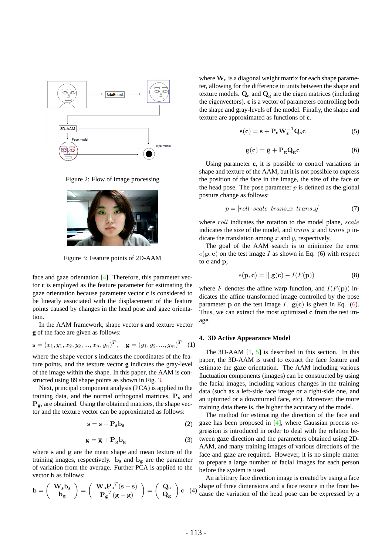

Figure 2: Flow of image processing



Figure 3: Feature points of 2D-AAM

face and gaze orientation [4]. Therefore, this parameter vector **c** is employed as the feature parameter for estimating the gaze orientation because parameter vector **c** is considered to be linearly associated with the displacement of the feature points caused by changes in the head pose and gaze orientation.

In the AAM framework, shape vector **s** and texture vector **g** of the face are given as follows:

$$
\mathbf{s} = (x_1, y_1, x_2, y_2, ..., x_n, y_n)^T, \quad \mathbf{g} = (g_1, g_2, ..., g_m)^T \quad (1)
$$

where the shape vector **s** indicates the coordinates of the feature points, and the texture vector **g** indicates the gray-level of the image within the shape. In this paper, the AAM is constructed using 89 shape points as shown in Fig. 3.

Next, principal component analysis (PCA) is applied to the training data, and the normal orthogonal matrices, **P<sup>s</sup>** and  $P_g$ , are obtained. Using the obtained matrices, the shape vector and the texture vector can be approximated as follows:

$$
s = \bar{s} + P_s b_s \tag{2}
$$

$$
g = \overline{g} + P_g b_g \tag{3}
$$

where  $\bar{s}$  and  $\bar{g}$  are the mean shape and mean texture of the training images, respectively.  $\mathbf{b}_s$  and  $\mathbf{b}_g$  are the parameter of variation from the average. Further PCA is applied to the vector **b** as follows:

$$
\mathbf{b} = \left(\begin{array}{c} \mathbf{W_s} \mathbf{b_s} \\ \mathbf{b_g} \end{array}\right) = \left(\begin{array}{c} \mathbf{W_s} \mathbf{P_s}^T (\mathbf{s} - \overline{\mathbf{s}}) \\ \mathbf{P_g}^T (\mathbf{g} - \overline{\mathbf{g}}) \end{array}\right) = \left(\begin{array}{c} \mathbf{Q_s} \\ \mathbf{Q_g} \end{array}\right) \mathbf{c} \quad (
$$

where  $\mathbf{W}_s$  is a diagonal weight matrix for each shape parameter, allowing for the difference in units between the shape and texture models.  $Q_s$  and  $Q_g$  are the eigen matrices (including the eigenvectors). **c** is a vector of parameters controlling both the shape and gray-levels of the model. Finally, the shape and texture are approximated as functions of **c**.

$$
s(c) = \bar{s} + P_s W_s^{-1} Q_s c \tag{5}
$$

$$
\mathbf{g}(\mathbf{c}) = \bar{\mathbf{g}} + \mathbf{P}_{\mathbf{g}} \mathbf{Q}_{\mathbf{g}} \mathbf{c} \tag{6}
$$

Using parameter **c**, it is possible to control variations in shape and texture of the AAM, but it is not possible to express the position of the face in the image, the size of the face or the head pose. The pose parameter  $p$  is defined as the global posture change as follows:

$$
p = [roll \ scale \ trans\_x \ trans\_y]
$$
 (7)

where *roll* indicates the rotation to the model plane, *scale* indicates the size of the model, and *trans x* and *trans y* indicate the translation among *x* and *y*, respectively.

The goal of the AAM search is to minimize the error  $e(\mathbf{p}, \mathbf{c})$  on the test image *I* as shown in Eq. (6) with respect to **c** and **p**,

$$
e(\mathbf{p}, \mathbf{c}) = ||\mathbf{g}(\mathbf{c}) - I(F(\mathbf{p}))|| \qquad (8)
$$

where *F* denotes the affine warp function, and  $I(F(\mathbf{p}))$  indicates the affine transformed image controlled by the pose parameter **p** on the test image *I*.  $g(c)$  is given in Eq. (6). Thus, we can extract the most optimized **c** from the test image.

### **4. 3D Active Appearance Model**

The 3D-AAM  $[1, 5]$  is described in this section. In this paper, the 3D-AAM is used to extract the face feature and estimate the gaze orientation. The AAM including various fluctuation components (images) can be constructed by using the facial images, including various changes in the training data (such as a left-side face image or a right-side one, and an upturned or a downturned face, etc). Moreover, the more training data there is, the higher the accuracy of the model.

The method for estimating the direction of the face and gaze has been proposed in [4], where Gaussian process regression is introduced in order to deal with the relation between gaze direction and the parameters obtained using 2D-AAM, and many training images of various directions of the face and gaze are required. However, it is no simple matter to prepare a large number of facial images for each person before the system is used.

**c** (4) cause the variation of the head pose can be expressed by a An arbitrary face direction image is created by using a face shape of three dimensions and a face texture in the front be-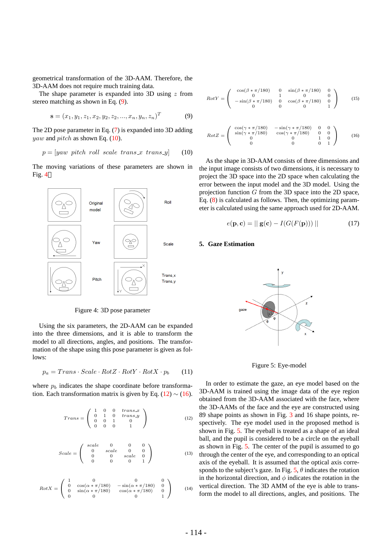geometrical transformation of the 3D-AAM. Therefore, the 3D-AAM does not require much training data.

The shape parameter is expanded into 3D using *z* from stereo matching as shown in Eq. (9).

$$
\mathbf{s} = (x_1, y_1, z_1, x_2, y_2, z_2, ..., x_n, y_n, z_n)^T
$$
(9)

The 2D pose parameter in Eq. (7) is expanded into 3D adding *yaw* and *pitch* as shown Eq. (10).

$$
p = [yaw\; pitch\; roll\; scale\; trans_x\; trans_y] \qquad (10)
$$

The moving variations of these parameters are shown in Fig. 4



Figure 4: 3D pose parameter

Using the six parameters, the 2D-AAM can be expanded into the three dimensions, and it is able to transform the model to all directions, angles, and positions. The transformation of the shape using this pose parameter is given as follows:

$$
p_a = Trans \cdot Scale \cdot RotZ \cdot RotY \cdot RotX \cdot p_b \qquad (11)
$$

where  $p_b$  indicates the shape coordinate before transformation. Each transformation matrix is given by Eq.  $(12) \sim (16)$ .

$$
Trans = \left(\begin{array}{cccc} 1 & 0 & 0 & trans.x \\ 0 & 1 & 0 & trans.y \\ 0 & 0 & 1 & 0 \\ 0 & 0 & 0 & 1 \end{array}\right) \tag{12}
$$

$$
Scale = \begin{pmatrix} scale & 0 & 0 & 0 \\ 0 & scale & 0 & 0 \\ 0 & 0 & scale & 0 \\ 0 & 0 & 0 & 1 \end{pmatrix}
$$
 (13)

$$
RotX = \begin{pmatrix} 1 & 0 & 0 & 0 \\ 0 & \cos(\alpha * \pi/180) & -\sin(\alpha * \pi/180) & 0 \\ 0 & \sin(\alpha * \pi/180) & \cos(\alpha * \pi/180) & 0 \\ 0 & 0 & 0 & 1 \end{pmatrix}
$$
 (14)

$$
RotY = \begin{pmatrix} \cos(\beta * \pi/180) & 0 & \sin(\beta * \pi/180) & 0 \\ 0 & 1 & 0 & 0 \\ -\sin(\beta * \pi/180) & 0 & \cos(\beta * \pi/180) & 0 \\ 0 & 0 & 0 & 1 \end{pmatrix}
$$
 (15)

$$
RotZ = \begin{pmatrix} \cos(\gamma * \pi/180) & -\sin(\gamma * \pi/180) & 0 & 0\\ \sin(\gamma * \pi/180) & \cos(\gamma * \pi/180) & 0 & 0\\ 0 & 0 & 1 & 0\\ 0 & 0 & 0 & 1 \end{pmatrix}
$$
 (16)

As the shape in 3D-AAM consists of three dimensions and the input image consists of two dimensions, it is necessary to project the 3D space into the 2D space when calculating the error between the input model and the 3D model. Using the projection function *G* from the 3D space into the 2D space, Eq. (8) is calculated as follows. Then, the optimizing parameter is calculated using the same approach used for 2D-AAM.

$$
e(\mathbf{p}, \mathbf{c}) = ||\mathbf{g}(\mathbf{c}) - I(G(F(\mathbf{p})))|| \qquad (17)
$$

### **5. Gaze Estimation**



Figure 5: Eye-model

In order to estimate the gaze, an eye model based on the 3D-AAM is trained using the image data of the eye region obtained from the 3D-AAM associated with the face, where the 3D-AAMs of the face and the eye are constructed using 89 shape points as shown in Fig. 3 and 16 shape points, respectively. The eye model used in the proposed method is shown in Fig. 5. The eyeball is treated as a shape of an ideal ball, and the pupil is considered to be a circle on the eyeball as shown in Fig. 5. The center of the pupil is assumed to go through the center of the eye, and corresponding to an optical axis of the eyeball. It is assumed that the optical axis corresponds to the subject's gaze. In Fig.  $5, \theta$  indicates the rotation in the horizontal direction, and  $\phi$  indicates the rotation in the vertical direction. The 3D AMM of the eye is able to transform the model to all directions, angles, and positions. The